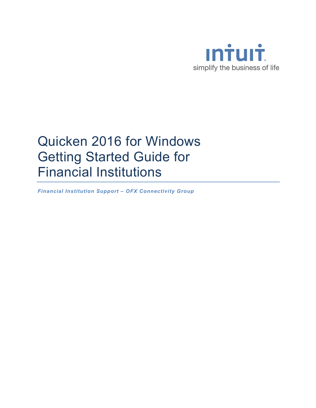

# Quicken 2016 for Windows Getting Started Guide for Financial Institutions

*Financial Institution Support – OFX Connectivity Group*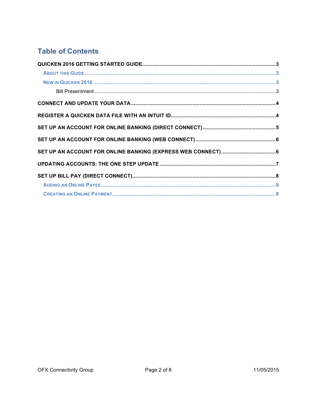# **Table of Contents**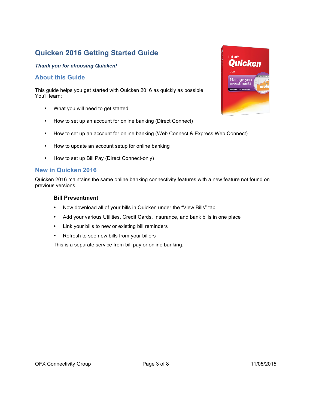# **Quicken 2016 Getting Started Guide**

#### *Thank you for choosing Quicken!*

#### **About this Guide**

This guide helps you get started with Quicken 2016 as quickly as possible. You'll learn:

- What you will need to get started
- How to set up an account for online banking (Direct Connect)
- How to set up an account for online banking (Web Connect & Express Web Connect)
- How to update an account setup for online banking
- How to set up Bill Pay (Direct Connect-only)

#### **New in Quicken 2016**

Quicken 2016 maintains the same online banking connectivity features with a new feature not found on previous versions.

#### **Bill Presentment**

- Now download all of your bills in Quicken under the "View Bills" tab
- Add your various Utilities, Credit Cards, Insurance, and bank bills in one place
- Link your bills to new or existing bill reminders
- Refresh to see new bills from your billers

This is a separate service from bill pay or online banking.

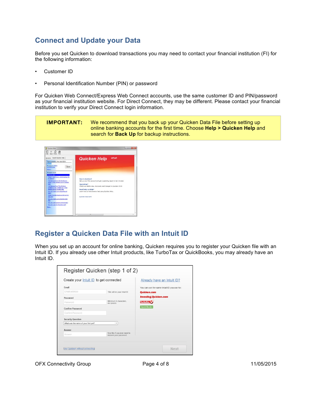## **Connect and Update your Data**

Before you set Quicken to download transactions you may need to contact your financial institution (FI) for the following information:

- Customer ID
- Personal Identification Number (PIN) or password

For Quicken Web Connect/Express Web Connect accounts, use the same customer ID and PIN/password as your financial institution website. For Direct Connect, they may be different. Please contact your financial institution to verify your Direct Connect login information.

**IMPORTANT:** We recommend that you back up your Quicken Data File before setting up online banking accounts for the first time. Choose **Help > Quicken Help** and search for **Back Up** for backup instructions.



### **Register a Quicken Data File with an Intuit ID**

When you set up an account for online banking, Quicken requires you to register your Quicken file with an Intuit ID. If you already use other Intuit products, like TurboTax or QuickBooks, you may already have an Intuit ID.

| Create your Intuit ID to get connected |                                                        | Already have an Intuit ID?                  |
|----------------------------------------|--------------------------------------------------------|---------------------------------------------|
| Fmail                                  |                                                        | You can use the same Intuit ID you use for: |
| Email address                          | This will be your Intuit ID                            | <b>Quicken.com</b>                          |
| Password                               |                                                        | <b>Investing.Quicken.com</b>                |
| Password                               | Minimum 6 characters.<br>no spaces.                    | <b>TurboTax</b>                             |
| <b>Confirm Password</b>                |                                                        | <b>QuickBooks</b>                           |
| Confirm Password                       |                                                        |                                             |
| <b>Security Question</b>               |                                                        |                                             |
| What was the name of your first pet?   | ۰                                                      |                                             |
| Answer                                 |                                                        |                                             |
| Answer                                 | Use this if you ever need to<br>recover your password. |                                             |
|                                        |                                                        |                                             |

OFX Connectivity Group **Page 4 of 8** 11/05/2015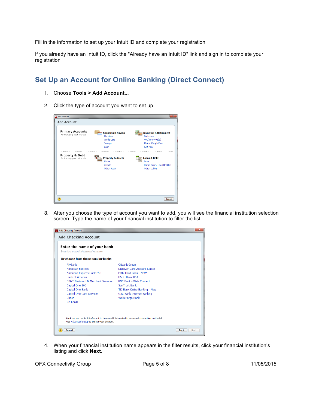Fill in the information to set up your Intuit ID and complete your registration

If you already have an Intuit ID, click the "Already have an Intuit ID" link and sign in to complete your registration

## **Set Up an Account for Online Banking (Direct Connect)**

- 1. Choose **Tools > Add Account...**
- 2. Click the type of account you want to set up.

| <b>Add Account</b>                                    |                                          |                                                       |
|-------------------------------------------------------|------------------------------------------|-------------------------------------------------------|
| <b>Primary Accounts</b><br>For managing your finances | <b>Spending &amp; Saving</b><br>Checking | <b>Investing &amp; Retirement</b><br><b>Brokerage</b> |
|                                                       | Credit Card                              | $401(k)$ or $403(b)$                                  |
|                                                       | Savings                                  | <b>IRA or Keogh Plan</b>                              |
|                                                       | Cash                                     | <b>529 Plan</b>                                       |
|                                                       | House<br>Vehicle<br>Other Asset          | Loan<br>Home Equity Line (HELOC)<br>Other Liabilty    |
|                                                       |                                          |                                                       |

3. After you choose the type of account you want to add, you will see the financial institution selection screen. Type the name of your financial institution to filter the list.



4. When your financial institution name appears in the filter results, click your financial institution's listing and click **Next**.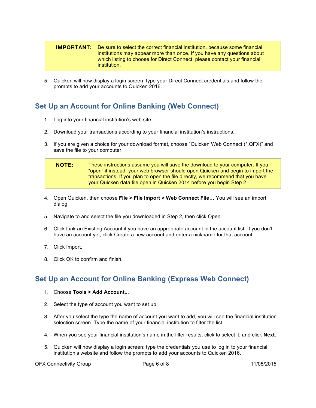#### **IMPORTANT:** Be sure to select the correct financial institution, because some financial institutions may appear more than once. If you have any questions about which listing to choose for Direct Connect, please contact your financial institution.

5. Quicken will now display a login screen: type your Direct Connect credentials and follow the prompts to add your accounts to Quicken 2016.

## **Set Up an Account for Online Banking (Web Connect)**

- 1. Log into your financial institution's web site.
- 2. Download your transactions according to your financial institution's instructions.
- 3. If you are given a choice for your download format, choose "Quicken Web Connect (\*.QFX)" and save the file to your computer.

| <b>NOTE:</b> | These instructions assume you will save the download to your computer. If you   |
|--------------|---------------------------------------------------------------------------------|
|              | "open" it instead, your web browser should open Quicken and begin to import the |
|              | transactions. If you plan to open the file directly, we recommend that you have |
|              | your Quicken data file open in Quicken 2014 before you begin Step 2.            |

- 4. Open Quicken, then choose **File > File Import > Web Connect File…** You will see an import dialog.
- 5. Navigate to and select the file you downloaded in Step 2, then click Open.
- 6. Click Link an Existing Account if you have an appropriate account in the account list. If you don't have an account yet, click Create a new account and enter a nickname for that account.
- 7. Click Import.
- 8. Click OK to confirm and finish.

## **Set Up an Account for Online Banking (Express Web Connect)**

- 1. Choose **Tools > Add Account...**
- 2. Select the type of account you want to set up.
- 3. After you select the type the name of account you want to add, you will see the financial institution selection screen. Type the name of your financial institution to filter the list.
- 4. When you see your financial institution's name in the filter results, click to select it, and click **Next**.
- 5. Quicken will now display a login screen: type the credentials you use to log in to your financial institution's website and follow the prompts to add your accounts to Quicken 2016.

OFX Connectivity Group **Page 6 of 8** 11/05/2015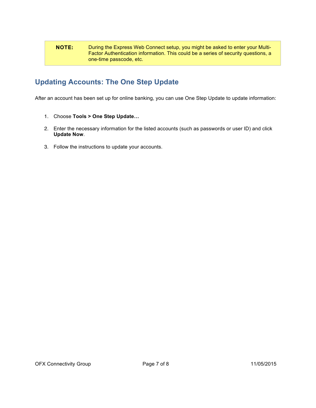#### NOTE: During the Express Web Connect setup, you might be asked to enter your Multi-Factor Authentication information. This could be a series of security questions, a one-time passcode, etc.

# **Updating Accounts: The One Step Update**

After an account has been set up for online banking, you can use One Step Update to update information:

- 1. Choose **Tools > One Step Update…**
- 2. Enter the necessary information for the listed accounts (such as passwords or user ID) and click **Update Now**.
- 3. Follow the instructions to update your accounts.